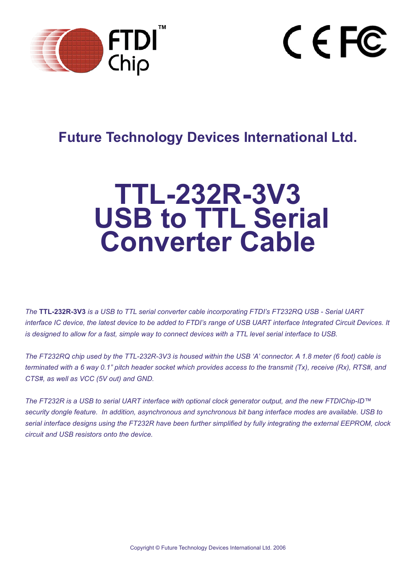



## **Future Technology Devices International Ltd.**

# **TTL-232R-3V3 USB to TTL Serial Converter Cable**

*The* **TTL-232R-3V3** *is a USB to TTL serial converter cable incorporating FTDI's FT232RQ USB - Serial UART interface IC device, the latest device to be added to FTDI's range of USB UART interface Integrated Circuit Devices. It is designed to allow for a fast, simple way to connect devices with a TTL level serial interface to USB.*

*The FT232RQ chip used by the TTL-232R-3V3 is housed within the USB 'A' connector. A 1.8 meter (6 foot) cable is terminated with a 6 way 0.1" pitch header socket which provides access to the transmit (Tx), receive (Rx), RTS#, and CTS#, as well as VCC (5V out) and GND.*

*The FT232R is a USB to serial UART interface with optional clock generator output, and the new FTDIChip-ID™ security dongle feature. In addition, asynchronous and synchronous bit bang interface modes are available. USB to*  serial interface designs using the FT232R have been further simplified by fully integrating the external EEPROM, clock *circuit and USB resistors onto the device.*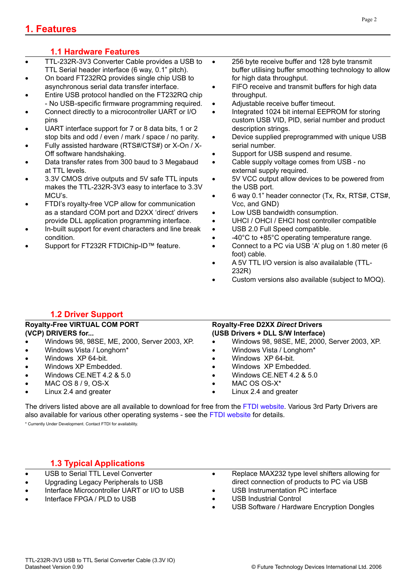## **1. Features**

## **1.1 Hardware Features**

- TTL-232R-3V3 Converter Cable provides a USB to TTL Serial header interface (6 way, 0.1" pitch).
- On board FT232RQ provides single chip USB to asynchronous serial data transfer interface.
- Entire USB protocol handled on the FT232RQ chip - No USB-specific firmware programming required.
- Connect directly to a microcontroller UART or I/O pins
- UART interface support for 7 or 8 data bits, 1 or 2 stop bits and odd / even / mark / space / no parity.
- Fully assisted hardware (RTS#/CTS#) or X-On / X-Off software handshaking.
- Data transfer rates from 300 baud to 3 Megabaud at TTL levels.
- 3.3V CMOS drive outputs and 5V safe TTL inputs makes the TTL-232R-3V3 easy to interface to 3.3V MCU's.
- FTDI's royalty-free VCP allow for communication as a standard COM port and D2XX 'direct' drivers provide DLL application programming interface.
- In-built support for event characters and line break condition.
- Support for FT232R FTDIChip-ID™ feature.
- 256 byte receive buffer and 128 byte transmit buffer utilising buffer smoothing technology to allow for high data throughput.
- FIFO receive and transmit buffers for high data throughput.
- Adjustable receive buffer timeout.
- Integrated 1024 bit internal EEPROM for storing custom USB VID, PID, serial number and product description strings.
- Device supplied preprogrammed with unique USB serial number.
- Support for USB suspend and resume.
- Cable supply voltage comes from USB no external supply required.
- 5V VCC output allow devices to be powered from the USB port.
- 6 way 0.1" header connector (Tx, Rx, RTS#, CTS#, Vcc, and GND)
- Low USB bandwidth consumption.
- UHCI / OHCI / EHCI host controller compatible
- USB 2.0 Full Speed compatible.
- -40°C to +85°C operating temperature range.
- Connect to a PC via USB 'A' plug on 1.80 meter (6 foot) cable.
- A 5V TTL I/O version is also availalable (TTL-232R)
- Custom versions also available (subject to MOQ).

## **1.2 Driver Support**

| <b>Royalty-Free VIRTUAL COM PORT</b> |                                              | <b>Royalty-Free D2XX Direct Drivers</b> |                                              |  |  |  |
|--------------------------------------|----------------------------------------------|-----------------------------------------|----------------------------------------------|--|--|--|
|                                      | (VCP) DRIVERS for                            | (USB Drivers + DLL S/W Interface)       |                                              |  |  |  |
| $\bullet$                            | Windows 98, 98SE, ME, 2000, Server 2003, XP. | $\bullet$                               | Windows 98, 98SE, ME, 2000, Server 2003, XP. |  |  |  |
| $\bullet$                            | Windows Vista / Longhorn*                    |                                         | Windows Vista / Longhorn*                    |  |  |  |
| $\bullet$                            | Windows XP 64-bit.                           |                                         | Windows XP 64-bit.                           |  |  |  |
| $\bullet$                            | Windows XP Embedded.                         | $\bullet$                               | Windows XP Embedded.                         |  |  |  |
| $\bullet$                            | Windows CE.NET 4.2 & 5.0                     | $\bullet$                               | Windows CE.NET 4.2 & 5.0                     |  |  |  |
| $\bullet$                            | MAC OS 8 / 9, OS-X                           |                                         | MAC OS OS-X <sup>*</sup>                     |  |  |  |
| $\bullet$                            | Linux 2.4 and greater                        |                                         | Linux 2.4 and greater                        |  |  |  |

The drivers listed above are all available to download for free from the [FTDI website.](http://www.ftdichip.com) Various 3rd Party Drivers are also available for various other operating systems - see the [FTDI website](http://www.ftdichip.com) for details.

\* Currently Under Development. Contact FTDI for availability.

## **1.3 Typical Applications**

- USB to Serial TTL Level Converter
- Upgrading Legacy Peripherals to USB
- Interface Microcontroller UART or I/O to USB
- Interface FPGA / PLD to USB
- Replace MAX232 type level shifters allowing for direct connection of products to PC via USB
- USB Instrumentation PC interface
- USB Industrial Control
- USB Software / Hardware Encryption Dongles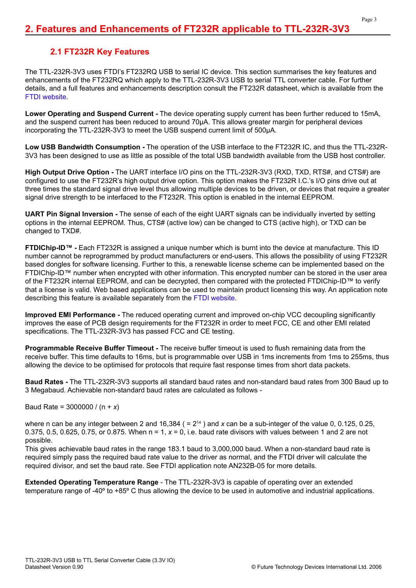### **2.1 FT232R Key Features**

The TTL-232R-3V3 uses FTDI's FT232RQ USB to serial IC device. This section summarises the key features and enhancements of the FT232RQ which apply to the TTL-232R-3V3 USB to serial TTL converter cable. For further details, and a full features and enhancements description consult the FT232R datasheet, which is available from the [FTDI website.](http://www.ftdichip.com)

**Lower Operating and Suspend Current -** The device operating supply current has been further reduced to 15mA, and the suspend current has been reduced to around 70μA. This allows greater margin for peripheral devices incorporating the TTL-232R-3V3 to meet the USB suspend current limit of 500μA.

**Low USB Bandwidth Consumption -** The operation of the USB interface to the FT232R IC, and thus the TTL-232R-3V3 has been designed to use as little as possible of the total USB bandwidth available from the USB host controller.

**High Output Drive Option -** The UART interface I/O pins on the TTL-232R-3V3 (RXD, TXD, RTS#, and CTS#) are configured to use the FT232R's high output drive option. This option makes the FT232R I.C.'s I/O pins drive out at three times the standard signal drive level thus allowing multiple devices to be driven, or devices that require a greater signal drive strength to be interfaced to the FT232R. This option is enabled in the internal EEPROM.

**UART Pin Signal Inversion -** The sense of each of the eight UART signals can be individually inverted by setting options in the internal EEPROM. Thus, CTS# (active low) can be changed to CTS (active high), or TXD can be changed to TXD#.

**FTDIChip-ID™ -** Each FT232R is assigned a unique number which is burnt into the device at manufacture. This ID number cannot be reprogrammed by product manufacturers or end-users. This allows the possibility of using FT232R based dongles for software licensing. Further to this, a renewable license scheme can be implemented based on the FTDIChip-ID™ number when encrypted with other information. This encrypted number can be stored in the user area of the FT232R internal EEPROM, and can be decrypted, then compared with the protected FTDIChip-ID™ to verify that a license is valid. Web based applications can be used to maintain product licensing this way. An application note describing this feature is available separately from the [FTDI website](http://www.ftdichip.com).

**Improved EMI Performance -** The reduced operating current and improved on-chip VCC decoupling significantly improves the ease of PCB design requirements for the FT232R in order to meet FCC, CE and other EMI related specifications. The TTL-232R-3V3 has passed FCC and CE testing.

**Programmable Receive Buffer Timeout -** The receive buffer timeout is used to flush remaining data from the receive buffer. This time defaults to 16ms, but is programmable over USB in 1ms increments from 1ms to 255ms, thus allowing the device to be optimised for protocols that require fast response times from short data packets.

**Baud Rates -** The TTL-232R-3V3 supports all standard baud rates and non-standard baud rates from 300 Baud up to 3 Megabaud. Achievable non-standard baud rates are calculated as follows -

Baud Rate = 3000000 / (n + *x*)

where n can be any integer between 2 and 16,384 ( =  $2^{14}$  ) and x can be a sub-integer of the value 0, 0.125, 0.25, 0.375, 0.5, 0.625, 0.75, or 0.875. When  $n = 1$ ,  $x = 0$ , i.e. baud rate divisors with values between 1 and 2 are not possible.

This gives achievable baud rates in the range 183.1 baud to 3,000,000 baud. When a non-standard baud rate is required simply pass the required baud rate value to the driver as normal, and the FTDI driver will calculate the required divisor, and set the baud rate. See FTDI application note AN232B-05 for more details.

**Extended Operating Temperature Range** - The TTL-232R-3V3 is capable of operating over an extended temperature range of -40º to +85º C thus allowing the device to be used in automotive and industrial applications.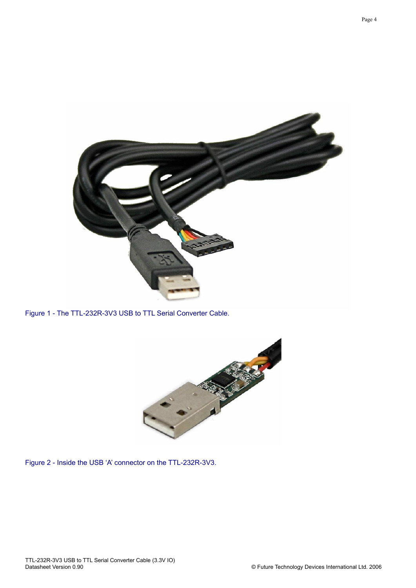

Figure 1 - The TTL-232R-3V3 USB to TTL Serial Converter Cable.



Figure 2 - Inside the USB 'A' connector on the TTL-232R-3V3.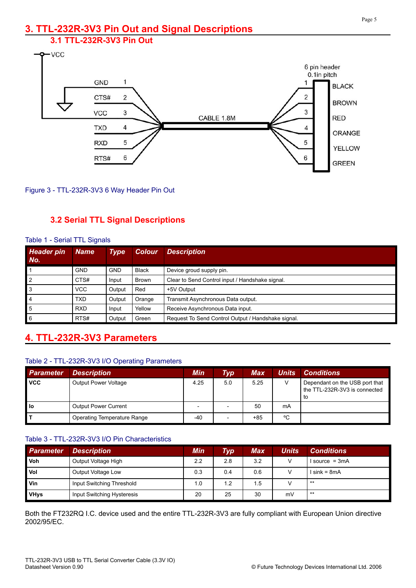# **3. TTL-232R-3V3 Pin Out and Signal Descriptions**

## **3.1 TTL-232R-3V3 Pin Out**





## **3.2 Serial TTL Signal Descriptions**

| <b>Header pin</b><br>No. | <b>Name</b> | <b>Type</b> | <b>Colour</b> | <b>Description</b>                                 |
|--------------------------|-------------|-------------|---------------|----------------------------------------------------|
|                          | <b>GND</b>  | <b>GND</b>  | <b>Black</b>  | Device groud supply pin.                           |
| $\overline{2}$           | CTS#        | Input       | <b>Brown</b>  | Clear to Send Control input / Handshake signal.    |
| 3                        | <b>VCC</b>  | Output      | Red           | +5V Output                                         |
| 4                        | <b>TXD</b>  | Output      | Orange        | Transmit Asynchronous Data output.                 |
| 5                        | <b>RXD</b>  | Input       | Yellow        | Receive Asynchronous Data input.                   |
| 6                        | RTS#        | Output      | Green         | Request To Send Control Output / Handshake signal. |

#### Table 1 - Serial TTL Signals

## **4. TTL-232R-3V3 Parameters**

#### Table 2 - TTL-232R-3V3 I/O Operating Parameters

| <b>Parameter</b> | <b>Description</b>                 | Min  | $\bm{Typ}^+$ | <b>Max</b> | <b>Units</b> | <b>Conditions</b>                                                     |
|------------------|------------------------------------|------|--------------|------------|--------------|-----------------------------------------------------------------------|
| <b>VCC</b>       | <b>Output Power Voltage</b>        | 4.25 | 5.0          | 5.25       | $\sqrt{}$    | Dependant on the USB port that<br>the TTL-232R-3V3 is connected<br>to |
| l lo             | <b>Output Power Current</b>        |      |              | 50         | mA           |                                                                       |
|                  | <b>Operating Temperature Range</b> | -40  |              | $+85$      | °C           |                                                                       |

#### Table 3 - TTL-232R-3V3 I/O Pin Characteristics

| <b>Parameter</b> | <b>Description</b>         | Min | $\bm{Type}$ | Max | Units | <b>Conditions</b> |
|------------------|----------------------------|-----|-------------|-----|-------|-------------------|
| <b>Voh</b>       | Output Voltage High        | 2.2 | 2.8         | 3.2 | v     | I source = 3mA    |
| <b>Vol</b>       | Output Voltage Low         | 0.3 | 0.4         | 0.6 |       | I sink = 8mA      |
| Vin              | Input Switching Threshold  | 1.0 | 1.2         | 1.5 |       | $***$             |
| <b>VHys</b>      | Input Switching Hysteresis | 20  | 25          | 30  | mV    | $***$             |

Both the FT232RQ I.C. device used and the entire TTL-232R-3V3 are fully compliant with European Union directive 2002/95/EC.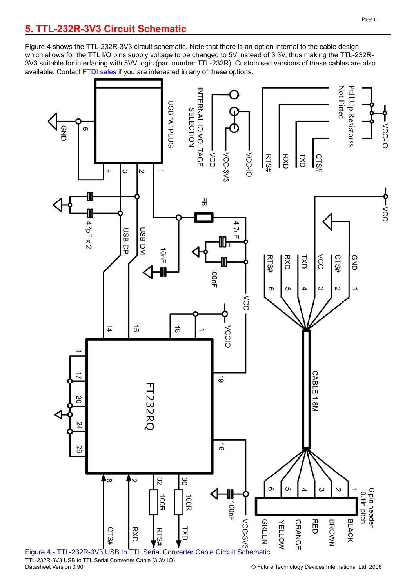Figure 4 shows the TTL-232R-3V3 circuit schematic. Note that there is an option internal to the cable design which allows for the TTL I/O pins supply voltage to be changed to 5V instead of 3.3V, thus making the TTL-232R-3V3 suitable for interfacing with 5VV logic (part number TTL-232R). Customised versions of these cables are also available. Contact [FTDI sales](mailto:sales1@ftdichip.com) if you are interested in any of these options.



TTL-232R-3V3 USB to TTL Serial Converter Cable (3.3V IO)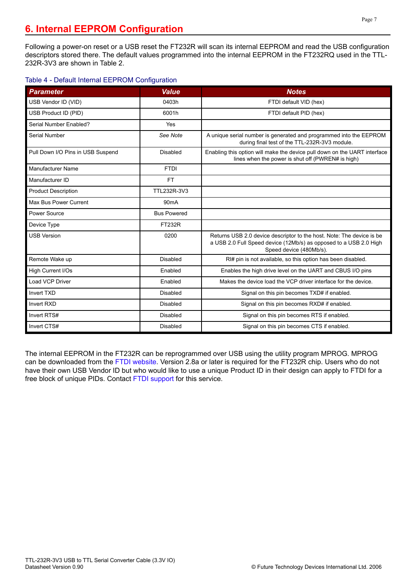## **6. Internal EEPROM Configuration**

Following a power-on reset or a USB reset the FT232R will scan its internal EEPROM and read the USB configuration descriptors stored there. The default values programmed into the internal EEPROM in the FT232RQ used in the TTL-232R-3V3 are shown in Table 2.

#### Table 4 - Default Internal EEPROM Configuration

| <b>Parameter</b>                  | <b>Value</b>       | <b>Notes</b>                                                                                                                                                          |
|-----------------------------------|--------------------|-----------------------------------------------------------------------------------------------------------------------------------------------------------------------|
| USB Vendor ID (VID)               | 0403h              | FTDI default VID (hex)                                                                                                                                                |
| USB Product ID (PID)              | 6001h              | FTDI default PID (hex)                                                                                                                                                |
| Serial Number Enabled?            | Yes                |                                                                                                                                                                       |
| <b>Serial Number</b>              | See Note           | A unique serial number is generated and programmed into the EEPROM<br>during final test of the TTL-232R-3V3 module.                                                   |
| Pull Down I/O Pins in USB Suspend | <b>Disabled</b>    | Enabling this option will make the device pull down on the UART interface<br>lines when the power is shut off (PWREN# is high)                                        |
| <b>Manufacturer Name</b>          | <b>FTDI</b>        |                                                                                                                                                                       |
| Manufacturer ID                   | <b>FT</b>          |                                                                                                                                                                       |
| <b>Product Description</b>        | TTL232R-3V3        |                                                                                                                                                                       |
| Max Bus Power Current             | 90 <sub>m</sub> A  |                                                                                                                                                                       |
| Power Source                      | <b>Bus Powered</b> |                                                                                                                                                                       |
| Device Type                       | <b>FT232R</b>      |                                                                                                                                                                       |
| <b>USB Version</b>                | 0200               | Returns USB 2.0 device descriptor to the host. Note: The device is be<br>a USB 2.0 Full Speed device (12Mb/s) as opposed to a USB 2.0 High<br>Speed device (480Mb/s). |
| Remote Wake up                    | <b>Disabled</b>    | RI# pin is not available, so this option has been disabled.                                                                                                           |
| High Current I/Os                 | Enabled            | Enables the high drive level on the UART and CBUS I/O pins                                                                                                            |
| Load VCP Driver                   | Enabled            | Makes the device load the VCP driver interface for the device.                                                                                                        |
| <b>Invert TXD</b>                 | Disabled           | Signal on this pin becomes TXD# if enabled.                                                                                                                           |
| <b>Invert RXD</b>                 | <b>Disabled</b>    | Signal on this pin becomes RXD# if enabled.                                                                                                                           |
| Invert RTS#                       | Disabled           | Signal on this pin becomes RTS if enabled.                                                                                                                            |
| Invert CTS#                       | <b>Disabled</b>    | Signal on this pin becomes CTS if enabled.                                                                                                                            |

The internal EEPROM in the FT232R can be reprogrammed over USB using the utility program MPROG. MPROG can be downloaded from the [FTDI website.](http://www.ftdichip.com) Version 2.8a or later is required for the FT232R chip. Users who do not have their own USB Vendor ID but who would like to use a unique Product ID in their design can apply to FTDI for a free block of unique PIDs. Contact [FTDI support](mailto:support1@ftdichip.com) for this service.